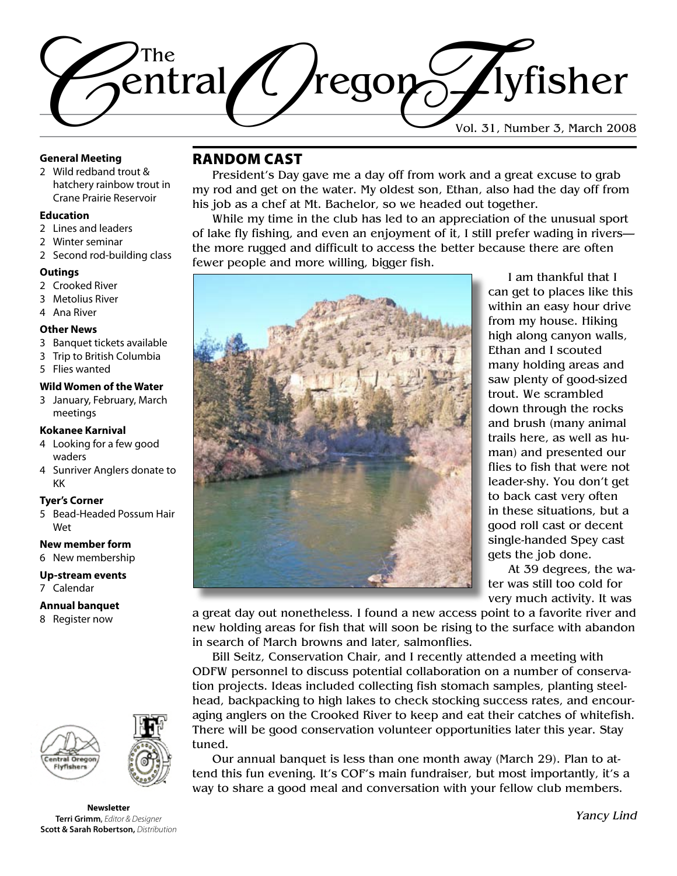

#### **General Meeting**

2 Wild redband trout & hatchery rainbow trout in Crane Prairie Reservoir

#### **Education**

- 2 Lines and leaders
- 2 Winter seminar
- 2 Second rod-building class

#### **Outings**

- 2 Crooked River
- 3 Metolius River
- 4 Ana River

#### **Other News**

- 3 Banquet tickets available
- 3 Trip to British Columbia
- 5 Flies wanted

#### **Wild Women of the Water**

3 January, February, March meetings

#### **Kokanee Karnival**

- 4 Looking for a few good waders
- 4 Sunriver Anglers donate to KK

#### **Tyer's Corner**

5 Bead-Headed Possum Hair Wet

#### **New member form**

6 New membership

#### **Up-stream events**

7 Calendar

#### **Annual banquet**

8 Register now





**Newsletter Terri Grimm**, *Editor & Designer* **Scott & Sarah Robertson,** *Distribution*

### Random Cast

President's Day gave me a day off from work and a great excuse to grab my rod and get on the water. My oldest son, Ethan, also had the day off from his job as a chef at Mt. Bachelor, so we headed out together.

While my time in the club has led to an appreciation of the unusual sport of lake fly fishing, and even an enjoyment of it, I still prefer wading in rivers the more rugged and difficult to access the better because there are often fewer people and more willing, bigger fish.



I am thankful that I can get to places like this within an easy hour drive from my house. Hiking high along canyon walls, Ethan and I scouted many holding areas and saw plenty of good-sized trout. We scrambled down through the rocks and brush (many animal trails here, as well as human) and presented our flies to fish that were not leader-shy. You don't get to back cast very often in these situations, but a good roll cast or decent single-handed Spey cast gets the job done.

At 39 degrees, the water was still too cold for very much activity. It was

a great day out nonetheless. I found a new access point to a favorite river and new holding areas for fish that will soon be rising to the surface with abandon in search of March browns and later, salmonflies.

Bill Seitz, Conservation Chair, and I recently attended a meeting with ODFW personnel to discuss potential collaboration on a number of conservation projects. Ideas included collecting fish stomach samples, planting steelhead, backpacking to high lakes to check stocking success rates, and encouraging anglers on the Crooked River to keep and eat their catches of whitefish. There will be good conservation volunteer opportunities later this year. Stay tuned.

Our annual banquet is less than one month away (March 29). Plan to attend this fun evening. It's COF's main fundraiser, but most importantly, it's a way to share a good meal and conversation with your fellow club members.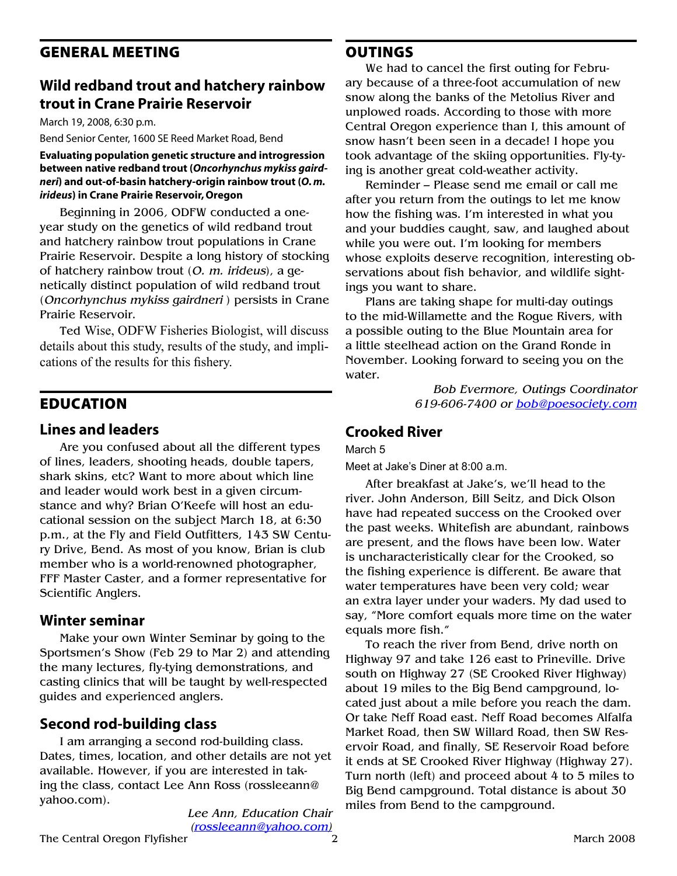### General Meeting

### **Wild redband trout and hatchery rainbow trout in Crane Prairie Reservoir**

March 19, 2008, 6:30 p.m.

Bend Senior Center, 1600 SE Reed Market Road, Bend

**Evaluating population genetic structure and introgression between native redband trout (***Oncorhynchus mykiss gairdneri***) and out-of-basin hatchery-origin rainbow trout (***O. m. irideus***) in Crane Prairie Reservoir, Oregon** 

Beginning in 2006*,* ODFW conducted a oneyear study on the genetics of wild redband trout and hatchery rainbow trout populations in Crane Prairie Reservoir. Despite a long history of stocking of hatchery rainbow trout (*O. m. irideus*), a genetically distinct population of wild redband trout (*Oncorhynchus mykiss gairdneri* ) persists in Crane Prairie Reservoir.

Ted Wise, ODFW Fisheries Biologist, will discuss details about this study, results of the study, and implications of the results for this fishery.

### **EDUCATION**

#### **Lines and leaders**

Are you confused about all the different types of lines, leaders, shooting heads, double tapers, shark skins, etc? Want to more about which line and leader would work best in a given circumstance and why? Brian O'Keefe will host an educational session on the subject March 18, at 6:30 p.m., at the Fly and Field Outfitters, 143 SW Century Drive, Bend. As most of you know, Brian is club member who is a world-renowned photographer, FFF Master Caster, and a former representative for Scientific Anglers.

#### **Winter seminar**

Make your own Winter Seminar by going to the Sportsmen's Show (Feb 29 to Mar 2) and attending the many lectures, fly-tying demonstrations, and casting clinics that will be taught by well-respected guides and experienced anglers.

### **Second rod-building class**

I am arranging a second rod-building class. Dates, times, location, and other details are not yet available. However, if you are interested in taking the class, contact Lee Ann Ross (rossleeann@ yahoo.com).

> *Lee Ann, Education Chair (rossleeann@yahoo.com)*

### **OUTINGS**

We had to cancel the first outing for February because of a three-foot accumulation of new snow along the banks of the Metolius River and unplowed roads. According to those with more Central Oregon experience than I, this amount of snow hasn't been seen in a decade! I hope you took advantage of the skiing opportunities. Fly-tying is another great cold-weather activity.

Reminder – Please send me email or call me after you return from the outings to let me know how the fishing was. I'm interested in what you and your buddies caught, saw, and laughed about while you were out. I'm looking for members whose exploits deserve recognition, interesting observations about fish behavior, and wildlife sightings you want to share.

Plans are taking shape for multi-day outings to the mid-Willamette and the Rogue Rivers, with a possible outing to the Blue Mountain area for a little steelhead action on the Grand Ronde in November. Looking forward to seeing you on the water.

> *Bob Evermore, Outings Coordinator 619-606-7400 or [bob@poesociety.com](mailto:bob@poesociety.com)*

### **Crooked River**

#### March 5

Meet at Jake's Diner at 8:00 a.m.

After breakfast at Jake's, we'll head to the river. John Anderson, Bill Seitz, and Dick Olson have had repeated success on the Crooked over the past weeks. Whitefish are abundant, rainbows are present, and the flows have been low. Water is uncharacteristically clear for the Crooked, so the fishing experience is different. Be aware that water temperatures have been very cold; wear an extra layer under your waders. My dad used to say, "More comfort equals more time on the water equals more fish."

To reach the river from Bend, drive north on Highway 97 and take 126 east to Prineville. Drive south on Highway 27 (SE Crooked River Highway) about 19 miles to the Big Bend campground, located just about a mile before you reach the dam. Or take Neff Road east. Neff Road becomes Alfalfa Market Road, then SW Willard Road, then SW Reservoir Road, and finally, SE Reservoir Road before it ends at SE Crooked River Highway (Highway 27). Turn north (left) and proceed about 4 to 5 miles to Big Bend campground. Total distance is about 30 miles from Bend to the campground.

The Central Oregon Flyfisher 2008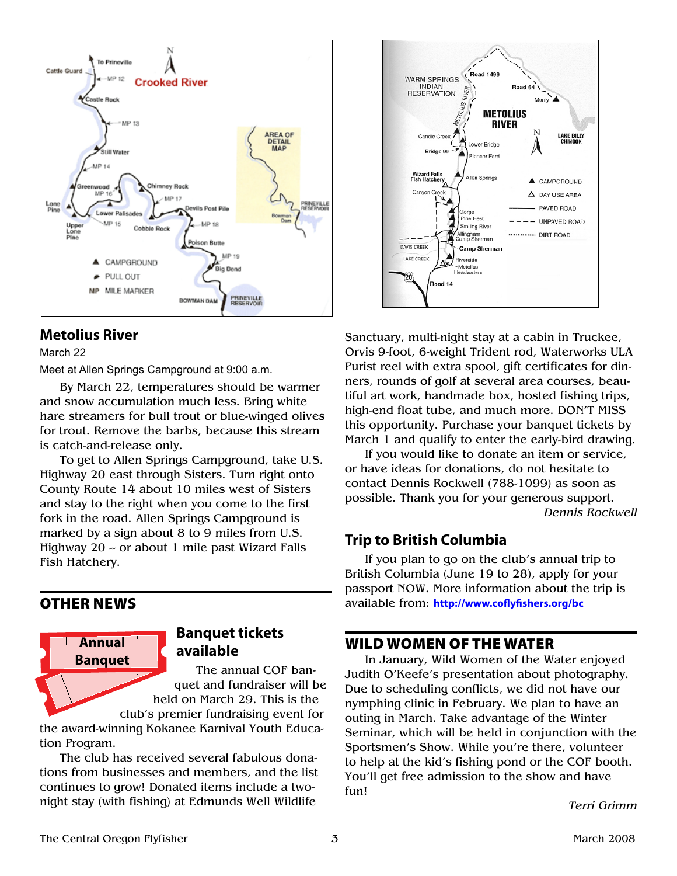

### **Metolius River**

March 22

Meet at Allen Springs Campground at 9:00 a.m.

By March 22, temperatures should be warmer and snow accumulation much less. Bring white hare streamers for bull trout or blue-winged olives for trout. Remove the barbs, because this stream is catch-and-release only.

To get to Allen Springs Campground, take U.S. Highway 20 east through Sisters. Turn right onto County Route 14 about 10 miles west of Sisters and stay to the right when you come to the first fork in the road. Allen Springs Campground is marked by a sign about 8 to 9 miles from U.S. Highway 20 -- or about 1 mile past Wizard Falls Fish Hatchery.

### other news



### **Banquet tickets available**

The annual COF banquet and fundraiser will be held on March 29. This is the

club's premier fundraising event for the award-winning Kokanee Karnival Youth Education Program.

The club has received several fabulous donations from businesses and members, and the list continues to grow! Donated items include a twonight stay (with fishing) at Edmunds Well Wildlife



Sanctuary, multi-night stay at a cabin in Truckee, Orvis 9-foot, 6-weight Trident rod, Waterworks ULA Purist reel with extra spool, gift certificates for dinners, rounds of golf at several area courses, beautiful art work, handmade box, hosted fishing trips, high-end float tube, and much more. DON'T MISS this opportunity. Purchase your banquet tickets by March 1 and qualify to enter the early-bird drawing.

If you would like to donate an item or service, or have ideas for donations, do not hesitate to contact Dennis Rockwell (788-1099) as soon as possible. Thank you for your generous support. *Dennis Rockwell*

### **Trip to British Columbia**

If you plan to go on the club's annual trip to British Columbia (June 19 to 28), apply for your passport NOW. More information about the trip is available from: **<http://www.coflyfishers.org/bc>**

### Wild Women of the Water

In January, Wild Women of the Water enjoyed Judith O'Keefe's presentation about photography. Due to scheduling conflicts, we did not have our nymphing clinic in February. We plan to have an outing in March. Take advantage of the Winter Seminar, which will be held in conjunction with the Sportsmen's Show. While you're there, volunteer to help at the kid's fishing pond or the COF booth. You'll get free admission to the show and have fun!

*Terri Grimm*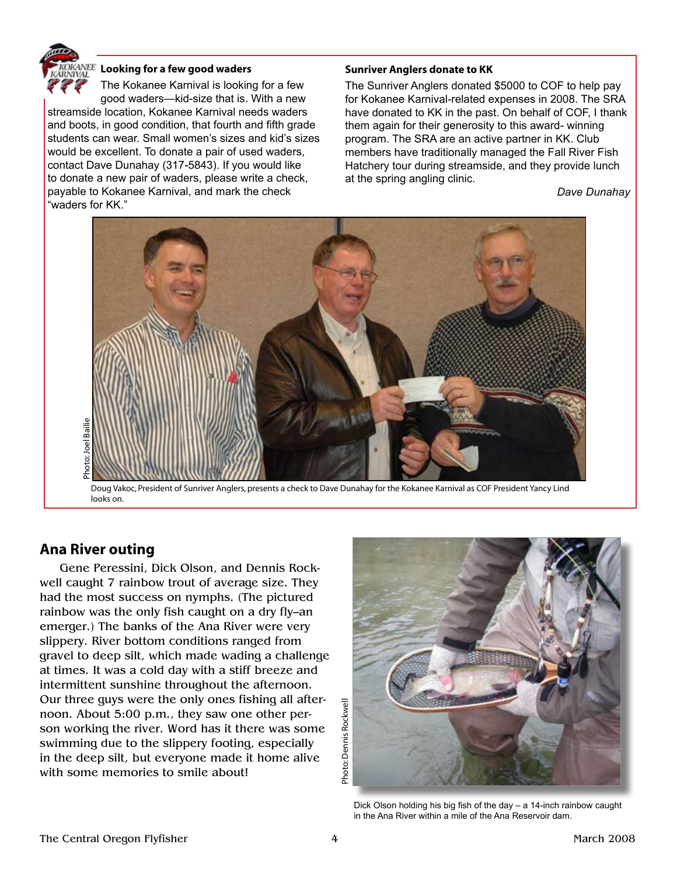

#### **Looking for a few good waders**

The Kokanee Karnival is looking for a few good waders—kid-size that is. With a new streamside location, Kokanee Karnival needs waders and boots, in good condition, that fourth and fifth grade students can wear. Small women's sizes and kid's sizes would be excellent. To donate a pair of used waders, contact Dave Dunahay (317-5843). If you would like to donate a new pair of waders, please write a check, payable to Kokanee Karnival, and mark the check "waders for KK."

#### **Sunriver Anglers donate to KK**

The Sunriver Anglers donated \$5000 to COF to help pay for Kokanee Karnival-related expenses in 2008. The SRA have donated to KK in the past. On behalf of COF, I thank them again for their generosity to this award- winning program. The SRA are an active partner in KK. Club members have traditionally managed the Fall River Fish Hatchery tour during streamside, and they provide lunch at the spring angling clinic.

*Dave Dunahay*



Doug Vakoc, President of Sunriver Anglers, presents a check to Dave Dunahay for the Kokanee Karnival as COF President Yancy Lind looks on.

### **Ana River outing**

Gene Peressini, Dick Olson, and Dennis Rockwell caught 7 rainbow trout of average size. They had the most success on nymphs. (The pictured rainbow was the only fish caught on a dry fly–an emerger.) The banks of the Ana River were very slippery. River bottom conditions ranged from gravel to deep silt, which made wading a challenge at times. It was a cold day with a stiff breeze and intermittent sunshine throughout the afternoon. Our three guys were the only ones fishing all afternoon. About 5:00 p.m., they saw one other person working the river. Word has it there was some swimming due to the slippery footing, especially in the deep silt, but everyone made it home alive with some memories to smile about!



Dick Olson holding his big fish of the day – a 14-inch rainbow caught in the Ana River within a mile of the Ana Reservoir dam.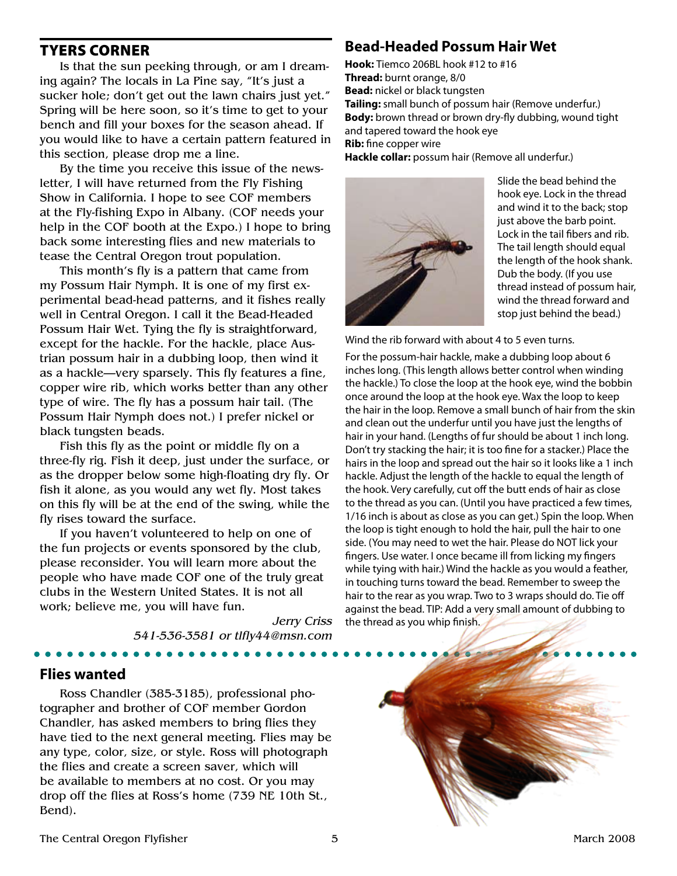### Tyers Corner

Is that the sun peeking through, or am I dreaming again? The locals in La Pine say, "It's just a sucker hole; don't get out the lawn chairs just yet." Spring will be here soon, so it's time to get to your bench and fill your boxes for the season ahead. If you would like to have a certain pattern featured in this section, please drop me a line.

By the time you receive this issue of the newsletter, I will have returned from the Fly Fishing Show in California. I hope to see COF members at the Fly-fishing Expo in Albany. (COF needs your help in the COF booth at the Expo.) I hope to bring back some interesting flies and new materials to tease the Central Oregon trout population.

This month's fly is a pattern that came from my Possum Hair Nymph. It is one of my first experimental bead-head patterns, and it fishes really well in Central Oregon. I call it the Bead-Headed Possum Hair Wet. Tying the fly is straightforward, except for the hackle. For the hackle, place Austrian possum hair in a dubbing loop, then wind it as a hackle—very sparsely. This fly features a fine, copper wire rib, which works better than any other type of wire. The fly has a possum hair tail. (The Possum Hair Nymph does not.) I prefer nickel or black tungsten beads.

Fish this fly as the point or middle fly on a three-fly rig. Fish it deep, just under the surface, or as the dropper below some high-floating dry fly. Or fish it alone, as you would any wet fly. Most takes on this fly will be at the end of the swing, while the fly rises toward the surface.

If you haven't volunteered to help on one of the fun projects or events sponsored by the club, please reconsider. You will learn more about the people who have made COF one of the truly great clubs in the Western United States. It is not all work; believe me, you will have fun.

> *Jerry Criss 541-536-3581 or tlfly44@msn.com*

#### **Flies wanted**

Ross Chandler (385-3185), professional photographer and brother of COF member Gordon Chandler, has asked members to bring flies they have tied to the next general meeting. Flies may be any type, color, size, or style. Ross will photograph the flies and create a screen saver, which will be available to members at no cost. Or you may drop off the flies at Ross's home (739 NE 10th St., Bend).

### **Bead-Headed Possum Hair Wet**

**Hook:** Tiemco 206BL hook #12 to #16 **Thread:** burnt orange, 8/0 **Bead:** nickel or black tungsten **Tailing:** small bunch of possum hair (Remove underfur.) **Body:** brown thread or brown dry-fly dubbing, wound tight and tapered toward the hook eye **Rib:** fine copper wire **Hackle collar:** possum hair (Remove all underfur.)



Slide the bead behind the hook eye. Lock in the thread and wind it to the back; stop just above the barb point. Lock in the tail fibers and rib. The tail length should equal the length of the hook shank. Dub the body. (If you use thread instead of possum hair, wind the thread forward and stop just behind the bead.)

Wind the rib forward with about 4 to 5 even turns.

For the possum-hair hackle, make a dubbing loop about 6 inches long. (This length allows better control when winding the hackle.) To close the loop at the hook eye, wind the bobbin once around the loop at the hook eye. Wax the loop to keep the hair in the loop. Remove a small bunch of hair from the skin and clean out the underfur until you have just the lengths of hair in your hand. (Lengths of fur should be about 1 inch long. Don't try stacking the hair; it is too fine for a stacker.) Place the hairs in the loop and spread out the hair so it looks like a 1 inch hackle. Adjust the length of the hackle to equal the length of the hook. Very carefully, cut off the butt ends of hair as close to the thread as you can. (Until you have practiced a few times, 1/16 inch is about as close as you can get.) Spin the loop. When the loop is tight enough to hold the hair, pull the hair to one side. (You may need to wet the hair. Please do NOT lick your fingers. Use water. I once became ill from licking my fingers while tying with hair.) Wind the hackle as you would a feather, in touching turns toward the bead. Remember to sweep the hair to the rear as you wrap. Two to 3 wraps should do. Tie off against the bead. TIP: Add a very small amount of dubbing to the thread as you whip finish.

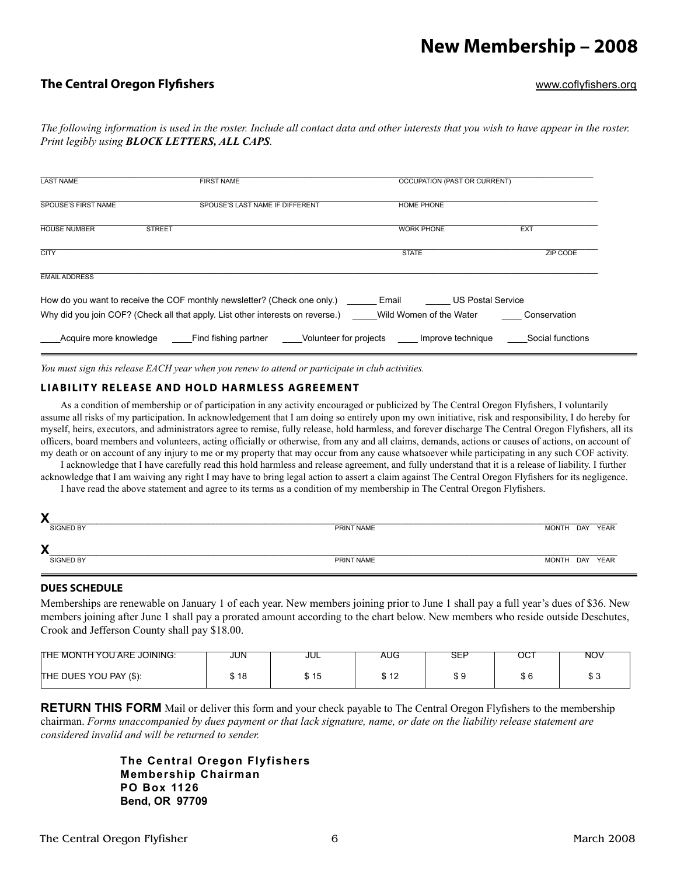## **New Membership – 2008**

#### **The Central Oregon Flyfishers** [www.coflyfishers.or]( http://www.coflyfishers.org )g

*The following information is used in the roster. Include all contact data and other interests that you wish to have appear in the roster. Print legibly using BLOCK LETTERS, ALL CAPS.*

| <b>LAST NAME</b>           | <b>FIRST NAME</b>                                                                                                                                          | <b>OCCUPATION (PAST OR CURRENT)</b>                          |                  |  |
|----------------------------|------------------------------------------------------------------------------------------------------------------------------------------------------------|--------------------------------------------------------------|------------------|--|
| <b>SPOUSE'S FIRST NAME</b> | SPOUSE'S LAST NAME IF DIFFERENT                                                                                                                            | <b>HOME PHONE</b>                                            |                  |  |
| <b>HOUSE NUMBER</b>        | <b>STREET</b>                                                                                                                                              | <b>WORK PHONE</b>                                            | EX <sub>1</sub>  |  |
| <b>CITY</b>                |                                                                                                                                                            | <b>STATE</b>                                                 | <b>ZIP CODE</b>  |  |
| <b>EMAIL ADDRESS</b>       |                                                                                                                                                            |                                                              |                  |  |
|                            | How do you want to receive the COF monthly newsletter? (Check one only.)<br>Why did you join COF? (Check all that apply. List other interests on reverse.) | <b>US Postal Service</b><br>Email<br>Wild Women of the Water | Conservation     |  |
| Acquire more knowledge     | Find fishing partner Colunteer for projects Improve technique                                                                                              |                                                              | Social functions |  |

*You must sign this release EACH year when you renew to attend or participate in club activities.*

#### **LIABILITY RELEASE AND HOLD HARMLESS AGREEMENT**

As a condition of membership or of participation in any activity encouraged or publicized by The Central Oregon Flyfishers, I voluntarily assume all risks of my participation. In acknowledgement that I am doing so entirely upon my own initiative, risk and responsibility, I do hereby for myself, heirs, executors, and administrators agree to remise, fully release, hold harmless, and forever discharge The Central Oregon Flyfishers, all its officers, board members and volunteers, acting officially or otherwise, from any and all claims, demands, actions or causes of actions, on account of my death or on account of any injury to me or my property that may occur from any cause whatsoever while participating in any such COF activity.

I acknowledge that I have carefully read this hold harmless and release agreement, and fully understand that it is a release of liability. I further acknowledge that I am waiving any right I may have to bring legal action to assert a claim against The Central Oregon Flyfishers for its negligence.

I have read the above statement and agree to its terms as a condition of my membership in The Central Oregon Flyfishers.

| Х                |            |                      |
|------------------|------------|----------------------|
| SIGNED BY        | PRINT NAME | MONTH<br>DAY<br>YEAR |
| X                |            |                      |
| <b>SIGNED BY</b> | PRINT NAME | MONTH DAY YEAR       |
|                  |            |                      |

#### **DUES SCHEDULE**

Memberships are renewable on January 1 of each year. New members joining prior to June 1 shall pay a full year's dues of \$36. New members joining after June 1 shall pay a prorated amount according to the chart below. New members who reside outside Deschutes, Crook and Jefferson County shall pay \$18.00.

| <b>THE MONTH YOU ARE JOINING:</b> | JUN                         | JUL  | <b>AUG</b>              | ---<br>∟ت | OC1 | NOV |
|-----------------------------------|-----------------------------|------|-------------------------|-----------|-----|-----|
| THE DUES YOU PAY (\$):            | $\overline{a}$<br>٠D<br>. . | \$15 | $\overline{ }$<br>Ψ ΙΖ. | ັ         | ັບ  | ن ب |

**RETURN THIS FORM** Mail or deliver this form and your check payable to The Central Oregon Flyfishers to the membership chairman. *Forms unaccompanied by dues payment or that lack signature, name, or date on the liability release statement are considered invalid and will be returned to sender.*

> **The Central Oregon Flyfishers Membership Chairman PO Box 1126 Bend, OR 97709**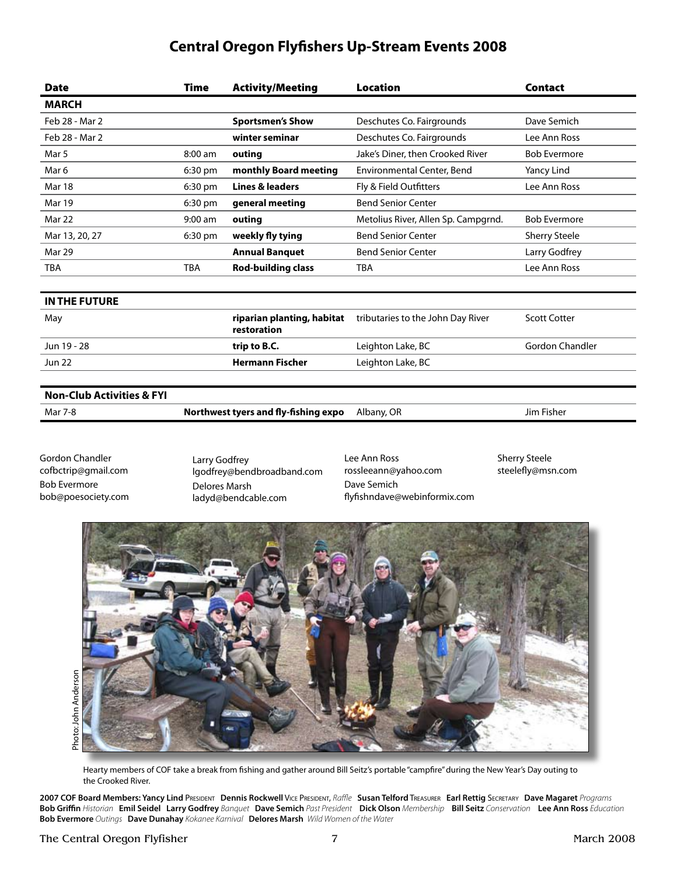### **Central Oregon Flyfishers Up-Stream Events 2008**

| <b>Date</b>                          | Time       | <b>Activity/Meeting</b>                       | <b>Location</b>                     | <b>Contact</b>         |  |
|--------------------------------------|------------|-----------------------------------------------|-------------------------------------|------------------------|--|
| <b>MARCH</b>                         |            |                                               |                                     |                        |  |
| Feb 28 - Mar 2                       |            | <b>Sportsmen's Show</b>                       | Deschutes Co. Fairgrounds           | Dave Semich            |  |
| Feb 28 - Mar 2                       |            | winter seminar                                | Deschutes Co. Fairgrounds           | Lee Ann Ross           |  |
| Mar 5                                | 8:00 am    | outing                                        | Jake's Diner, then Crooked River    | <b>Bob Evermore</b>    |  |
| Mar 6                                | 6:30 pm    | monthly Board meeting                         | Environmental Center, Bend          | Yancy Lind             |  |
| Mar 18                               | 6:30 pm    | <b>Lines &amp; leaders</b>                    | Fly & Field Outfitters              | Lee Ann Ross           |  |
| Mar 19                               | 6:30 pm    | general meeting                               | <b>Bend Senior Center</b>           |                        |  |
| Mar 22                               | $9:00$ am  | outing                                        | Metolius River, Allen Sp. Campgrnd. | <b>Bob Evermore</b>    |  |
| Mar 13, 20, 27                       | 6:30 pm    | weekly fly tying<br><b>Bend Senior Center</b> |                                     | <b>Sherry Steele</b>   |  |
| Mar 29                               |            | <b>Annual Banquet</b>                         | <b>Bend Senior Center</b>           | Larry Godfrey          |  |
| <b>TBA</b>                           | <b>TBA</b> | <b>Rod-building class</b>                     | <b>TBA</b>                          | Lee Ann Ross           |  |
|                                      |            |                                               |                                     |                        |  |
| <b>IN THE FUTURE</b>                 |            |                                               |                                     |                        |  |
| May                                  |            | riparian planting, habitat<br>restoration     | tributaries to the John Day River   | <b>Scott Cotter</b>    |  |
| Jun 19 - 28                          |            | trip to B.C.                                  | Leighton Lake, BC                   | <b>Gordon Chandler</b> |  |
| <b>Jun 22</b>                        |            | <b>Hermann Fischer</b>                        | Leighton Lake, BC                   |                        |  |
|                                      |            |                                               |                                     |                        |  |
| <b>Non-Club Activities &amp; FYI</b> |            |                                               |                                     |                        |  |

Mar 7-8 **Northwest tyers and fly-fishing expo** Albany, OR Jim Fisher

Gordon Chandler cofbctrip@gmail.com Bob Evermore bob@poesociety.com Larry Godfrey lgodfrey@bendbroadband.com Delores Marsh ladyd@bendcable.com

Lee Ann Ross rossleeann@yahoo.com Dave Semich flyfishndave@webinformix.com Sherry Steele steelefly@msn.com



Hearty members of COF take a break from fishing and gather around Bill Seitz's portable "campfire" during the New Year's Day outing to the Crooked River.

**2007 COF Board Members: Yancy Lind** President **Dennis Rockwell** Vice President, *Raffle* **Susan Telford** Treasurer **Earl Rettig** Secretary **Dave Magaret** *Programs* Bob Griffin Historian Emil Seidel Larry Godfrey Banquet Dave Semich Past President Dick Olson Membership Bill Seitz Conservation Lee Ann Ross Education **Bob Evermore** *Outings* **Dave Dunahay** *Kokanee Karnival* **Delores Marsh** *Wild Women of the Water*